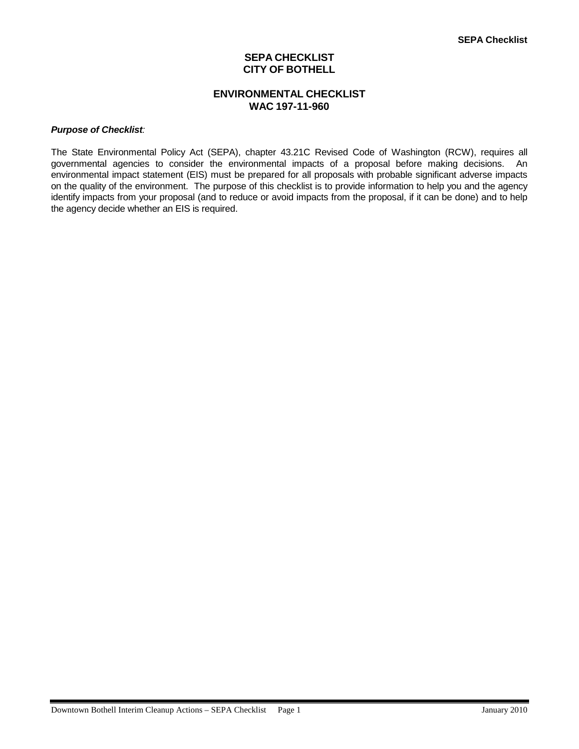# **SEPA CHECKLIST CITY OF BOTHELL**

# **ENVIRONMENTAL CHECKLIST WAC 197-11-960**

#### *Purpose of Checklist:*

The State Environmental Policy Act (SEPA), chapter 43.21C Revised Code of Washington (RCW), requires all governmental agencies to consider the environmental impacts of a proposal before making decisions. An environmental impact statement (EIS) must be prepared for all proposals with probable significant adverse impacts on the quality of the environment. The purpose of this checklist is to provide information to help you and the agency identify impacts from your proposal (and to reduce or avoid impacts from the proposal, if it can be done) and to help the agency decide whether an EIS is required.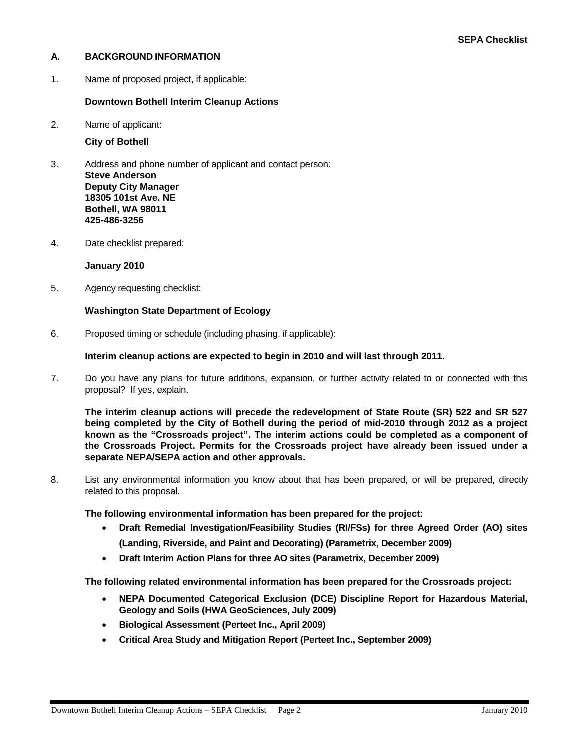# **A. BACKGROUND INFORMATION**

1. Name of proposed project, if applicable:

# **Downtown Bothell Interim Cleanup Actions**

2. Name of applicant:

**City of Bothell**

- 3. Address and phone number of applicant and contact person: **Steve Anderson Deputy City Manager 18305 101st Ave. NE Bothell, WA 98011 425-486-3256**
- 4. Date checklist prepared:

# **January 2010**

5. Agency requesting checklist:

# **Washington State Department of Ecology**

6. Proposed timing or schedule (including phasing, if applicable):

# **Interim cleanup actions are expected to begin in 2010 and will last through 2011.**

7. Do you have any plans for future additions, expansion, or further activity related to or connected with this proposal? If yes, explain.

**The interim cleanup actions will precede the redevelopment of State Route (SR) 522 and SR 527 being completed by the City of Bothell during the period of mid-2010 through 2012 as a project known as the "Crossroads project". The interim actions could be completed as a component of the Crossroads Project. Permits for the Crossroads project have already been issued under a separate NEPA/SEPA action and other approvals.**

8. List any environmental information you know about that has been prepared, or will be prepared, directly related to this proposal.

**The following environmental information has been prepared for the project:**

- **Draft Remedial Investigation/Feasibility Studies (RI/FSs) for three Agreed Order (AO) sites (Landing, Riverside, and Paint and Decorating) (Parametrix, December 2009)**
- **Draft Interim Action Plans for three AO sites (Parametrix, December 2009)**

**The following related environmental information has been prepared for the Crossroads project:**

- **NEPA Documented Categorical Exclusion (DCE) Discipline Report for Hazardous Material, Geology and Soils (HWA GeoSciences, July 2009)**
- **Biological Assessment (Perteet Inc., April 2009)**
- **Critical Area Study and Mitigation Report (Perteet Inc., September 2009)**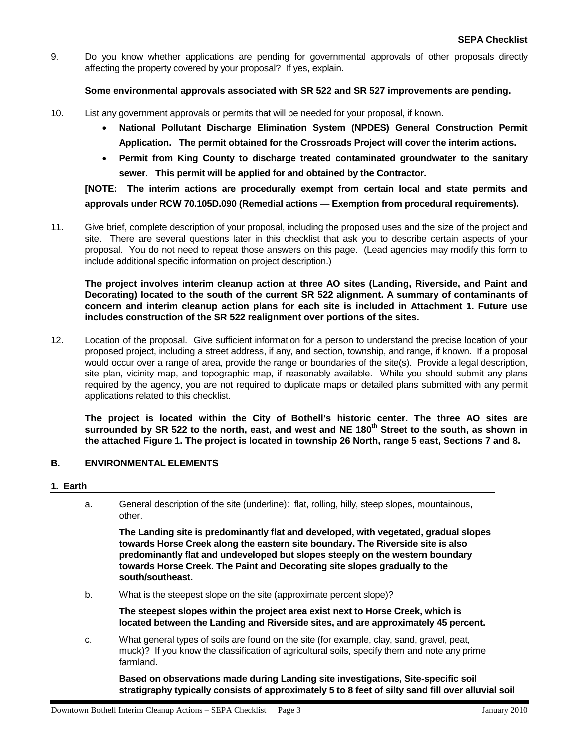9. Do you know whether applications are pending for governmental approvals of other proposals directly affecting the property covered by your proposal? If yes, explain.

# **Some environmental approvals associated with SR 522 and SR 527 improvements are pending.**

- 10. List any government approvals or permits that will be needed for your proposal, if known.
	- **National Pollutant Discharge Elimination System (NPDES) General Construction Permit Application. The permit obtained for the Crossroads Project will cover the interim actions.**
	- **Permit from King County to discharge treated contaminated groundwater to the sanitary sewer. This permit will be applied for and obtained by the Contractor.**

**[NOTE: The interim actions are procedurally exempt from certain local and state permits and approvals under RCW 70.105D.090 (Remedial actions — Exemption from procedural requirements).** 

11. Give brief, complete description of your proposal, including the proposed uses and the size of the project and site. There are several questions later in this checklist that ask you to describe certain aspects of your proposal. You do not need to repeat those answers on this page. (Lead agencies may modify this form to include additional specific information on project description.)

**The project involves interim cleanup action at three AO sites (Landing, Riverside, and Paint and Decorating) located to the south of the current SR 522 alignment. A summary of contaminants of concern and interim cleanup action plans for each site is included in Attachment 1. Future use includes construction of the SR 522 realignment over portions of the sites.**

12. Location of the proposal. Give sufficient information for a person to understand the precise location of your proposed project, including a street address, if any, and section, township, and range, if known. If a proposal would occur over a range of area, provide the range or boundaries of the site(s). Provide a legal description, site plan, vicinity map, and topographic map, if reasonably available. While you should submit any plans required by the agency, you are not required to duplicate maps or detailed plans submitted with any permit applications related to this checklist.

**The project is located within the City of Bothell's historic center. The three AO sites are surrounded by SR 522 to the north, east, and west and NE 180th Street to the south, as shown in the attached Figure 1. The project is located in township 26 North, range 5 east, Sections 7 and 8.**

# **B. ENVIRONMENTAL ELEMENTS**

# **1. Earth**

a. General description of the site (underline): flat, rolling, hilly, steep slopes, mountainous, other.

**The Landing site is predominantly flat and developed, with vegetated, gradual slopes towards Horse Creek along the eastern site boundary. The Riverside site is also predominantly flat and undeveloped but slopes steeply on the western boundary towards Horse Creek. The Paint and Decorating site slopes gradually to the south/southeast.**

b. What is the steepest slope on the site (approximate percent slope)?

**The steepest slopes within the project area exist next to Horse Creek, which is located between the Landing and Riverside sites, and are approximately 45 percent.**

c. What general types of soils are found on the site (for example, clay, sand, gravel, peat, muck)? If you know the classification of agricultural soils, specify them and note any prime farmland.

**Based on observations made during Landing site investigations, Site-specific soil stratigraphy typically consists of approximately 5 to 8 feet of silty sand fill over alluvial soil**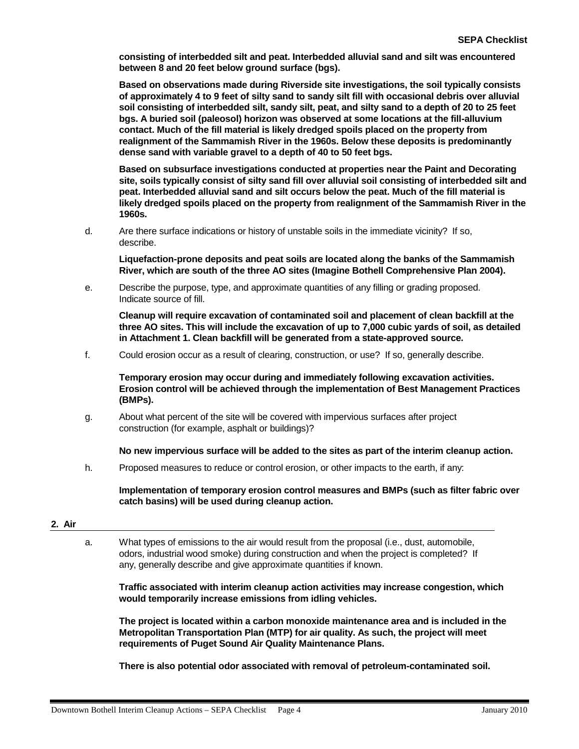**consisting of interbedded silt and peat. Interbedded alluvial sand and silt was encountered between 8 and 20 feet below ground surface (bgs).**

**Based on observations made during Riverside site investigations, the soil typically consists of approximately 4 to 9 feet of silty sand to sandy silt fill with occasional debris over alluvial soil consisting of interbedded silt, sandy silt, peat, and silty sand to a depth of 20 to 25 feet bgs. A buried soil (paleosol) horizon was observed at some locations at the fill-alluvium contact. Much of the fill material is likely dredged spoils placed on the property from realignment of the Sammamish River in the 1960s. Below these deposits is predominantly dense sand with variable gravel to a depth of 40 to 50 feet bgs.**

**Based on subsurface investigations conducted at properties near the Paint and Decorating site, soils typically consist of silty sand fill over alluvial soil consisting of interbedded silt and peat. Interbedded alluvial sand and silt occurs below the peat. Much of the fill material is likely dredged spoils placed on the property from realignment of the Sammamish River in the 1960s.**

d. Are there surface indications or history of unstable soils in the immediate vicinity? If so, describe.

**Liquefaction-prone deposits and peat soils are located along the banks of the Sammamish River, which are south of the three AO sites (Imagine Bothell Comprehensive Plan 2004).**

e. Describe the purpose, type, and approximate quantities of any filling or grading proposed. Indicate source of fill.

**Cleanup will require excavation of contaminated soil and placement of clean backfill at the three AO sites. This will include the excavation of up to 7,000 cubic yards of soil, as detailed in Attachment 1. Clean backfill will be generated from a state-approved source.**

f. Could erosion occur as a result of clearing, construction, or use? If so, generally describe.

**Temporary erosion may occur during and immediately following excavation activities. Erosion control will be achieved through the implementation of Best Management Practices (BMPs).**

g. About what percent of the site will be covered with impervious surfaces after project construction (for example, asphalt or buildings)?

**No new impervious surface will be added to the sites as part of the interim cleanup action.** 

h. Proposed measures to reduce or control erosion, or other impacts to the earth, if any:

**Implementation of temporary erosion control measures and BMPs (such as filter fabric over catch basins) will be used during cleanup action.**

# **2. Air**

a. What types of emissions to the air would result from the proposal (i.e., dust, automobile, odors, industrial wood smoke) during construction and when the project is completed? If any, generally describe and give approximate quantities if known.

**Traffic associated with interim cleanup action activities may increase congestion, which would temporarily increase emissions from idling vehicles.**

**The project is located within a carbon monoxide maintenance area and is included in the Metropolitan Transportation Plan (MTP) for air quality. As such, the project will meet requirements of Puget Sound Air Quality Maintenance Plans.**

**There is also potential odor associated with removal of petroleum-contaminated soil.**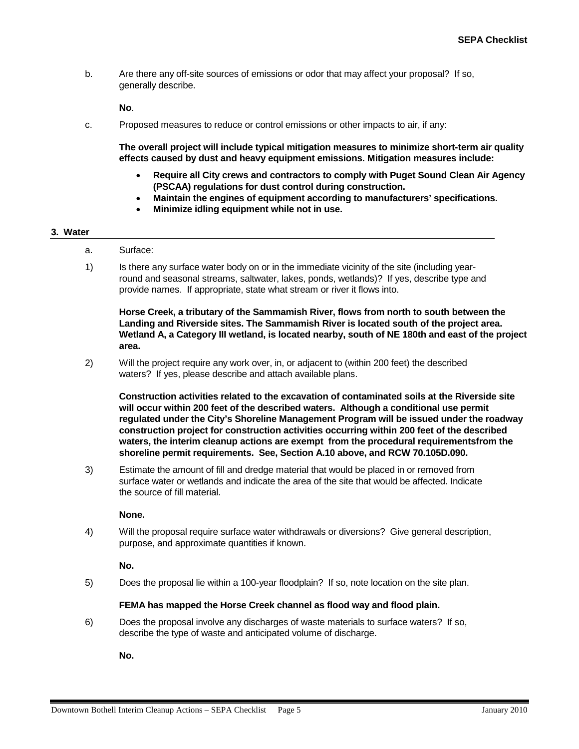b. Are there any off-site sources of emissions or odor that may affect your proposal? If so, generally describe.

**No**.

c. Proposed measures to reduce or control emissions or other impacts to air, if any:

**The overall project will include typical mitigation measures to minimize short-term air quality effects caused by dust and heavy equipment emissions. Mitigation measures include:**

- **Require all City crews and contractors to comply with Puget Sound Clean Air Agency (PSCAA) regulations for dust control during construction.**
- **Maintain the engines of equipment according to manufacturers' specifications.**
- **Minimize idling equipment while not in use.**

#### **3. Water**

- a. Surface:
- 1) Is there any surface water body on or in the immediate vicinity of the site (including yearround and seasonal streams, saltwater, lakes, ponds, wetlands)? If yes, describe type and provide names. If appropriate, state what stream or river it flows into.

**Horse Creek, a tributary of the Sammamish River, flows from north to south between the Landing and Riverside sites. The Sammamish River is located south of the project area. Wetland A, a Category III wetland, is located nearby, south of NE 180th and east of the project area.**

2) Will the project require any work over, in, or adjacent to (within 200 feet) the described waters? If yes, please describe and attach available plans.

**Construction activities related to the excavation of contaminated soils at the Riverside site will occur within 200 feet of the described waters. Although a conditional use permit regulated under the City's Shoreline Management Program will be issued under the roadway construction project for construction activities occurring within 200 feet of the described waters, the interim cleanup actions are exempt from the procedural requirementsfrom the shoreline permit requirements. See, Section A.10 above, and RCW 70.105D.090.**

3) Estimate the amount of fill and dredge material that would be placed in or removed from surface water or wetlands and indicate the area of the site that would be affected. Indicate the source of fill material.

#### **None.**

4) Will the proposal require surface water withdrawals or diversions? Give general description, purpose, and approximate quantities if known.

# **No.**

5) Does the proposal lie within a 100-year floodplain? If so, note location on the site plan.

#### **FEMA has mapped the Horse Creek channel as flood way and flood plain.**

6) Does the proposal involve any discharges of waste materials to surface waters? If so, describe the type of waste and anticipated volume of discharge.

**No.**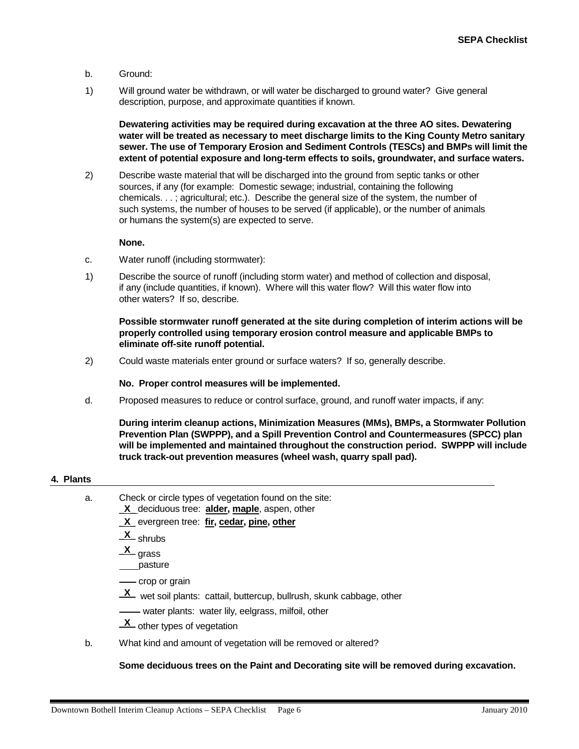- b. Ground:
- 1) Will ground water be withdrawn, or will water be discharged to ground water? Give general description, purpose, and approximate quantities if known.

**Dewatering activities may be required during excavation at the three AO sites. Dewatering water will be treated as necessary to meet discharge limits to the King County Metro sanitary sewer. The use of Temporary Erosion and Sediment Controls (TESCs) and BMPs will limit the extent of potential exposure and long-term effects to soils, groundwater, and surface waters.**

2) Describe waste material that will be discharged into the ground from septic tanks or other sources, if any (for example: Domestic sewage; industrial, containing the following chemicals. . . ; agricultural; etc.). Describe the general size of the system, the number of such systems, the number of houses to be served (if applicable), or the number of animals or humans the system(s) are expected to serve.

#### **None.**

- c. Water runoff (including stormwater):
- 1) Describe the source of runoff (including storm water) and method of collection and disposal, if any (include quantities, if known). Where will this water flow? Will this water flow into other waters? If so, describe.

**Possible stormwater runoff generated at the site during completion of interim actions will be properly controlled using temporary erosion control measure and applicable BMPs to eliminate off-site runoff potential.**

2) Could waste materials enter ground or surface waters? If so, generally describe.

#### **No. Proper control measures will be implemented.**

d. Proposed measures to reduce or control surface, ground, and runoff water impacts, if any:

**During interim cleanup actions, Minimization Measures (MMs), BMPs, a Stormwater Pollution Prevention Plan (SWPPP), and a Spill Prevention Control and Countermeasures (SPCC) plan will be implemented and maintained throughout the construction period. SWPPP will include truck track-out prevention measures (wheel wash, quarry spall pad).**

# **4. Plants**

- a. Check or circle types of vegetation found on the site:
	- \_**X**\_ deciduous tree: **alder, maple**, aspen, other
	- \_**X**\_ evergreen tree: **fir, cedar, pine, other**
	- \_**X**\_ shrubs
	- \_**X**\_ grass
	- pasture
	- crop or grain
	- \_**X**\_ wet soil plants: cattail, buttercup, bullrush, skunk cabbage, other
	- water plants: water lily, eelgrass, milfoil, other
	- \_**X**\_ other types of vegetation
- b. What kind and amount of vegetation will be removed or altered?

**Some deciduous trees on the Paint and Decorating site will be removed during excavation.**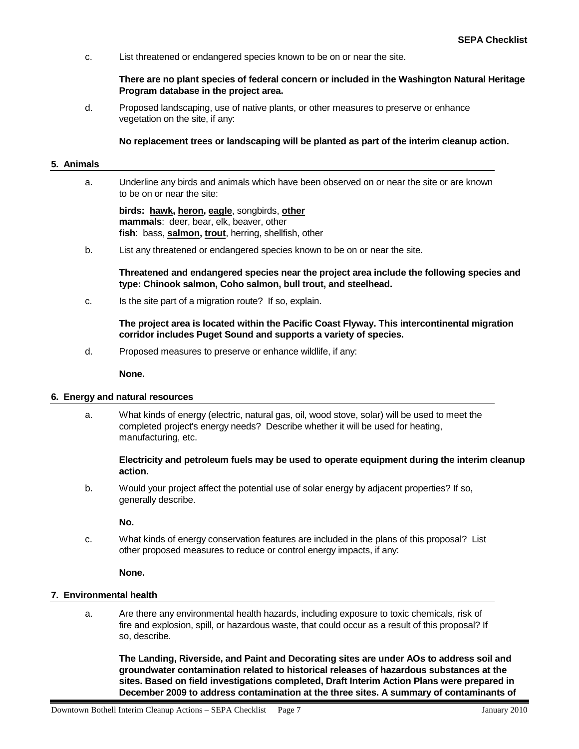c. List threatened or endangered species known to be on or near the site.

#### **There are no plant species of federal concern or included in the Washington Natural Heritage Program database in the project area.**

d. Proposed landscaping, use of native plants, or other measures to preserve or enhance vegetation on the site, if any:

#### **No replacement trees or landscaping will be planted as part of the interim cleanup action.**

#### **5. Animals**

a. Underline any birds and animals which have been observed on or near the site or are known to be on or near the site:

**birds: hawk, heron, eagle**, songbirds, **other mammals**: deer, bear, elk, beaver, other **fish**: bass, **salmon, trout** , herring, shellfish, other

b. List any threatened or endangered species known to be on or near the site.

**Threatened and endangered species near the project area include the following species and type: Chinook salmon, Coho salmon, bull trout, and steelhead.**

c. Is the site part of a migration route? If so, explain.

**The project area is located within the Pacific Coast Flyway. This intercontinental migration corridor includes Puget Sound and supports a variety of species.**

d. Proposed measures to preserve or enhance wildlife, if any:

**None.**

#### **6. Energy and natural resources**

a. What kinds of energy (electric, natural gas, oil, wood stove, solar) will be used to meet the completed project's energy needs? Describe whether it will be used for heating, manufacturing, etc.

# **Electricity and petroleum fuels may be used to operate equipment during the interim cleanup action.**

b. Would your project affect the potential use of solar energy by adjacent properties? If so, generally describe.

**No.**

c. What kinds of energy conservation features are included in the plans of this proposal? List other proposed measures to reduce or control energy impacts, if any:

**None.**

# **7. Environmental health**

a. Are there any environmental health hazards, including exposure to toxic chemicals, risk of fire and explosion, spill, or hazardous waste, that could occur as a result of this proposal? If so, describe.

**The Landing, Riverside, and Paint and Decorating sites are under AOs to address soil and groundwater contamination related to historical releases of hazardous substances at the sites. Based on field investigations completed, Draft Interim Action Plans were prepared in December 2009 to address contamination at the three sites. A summary of contaminants of**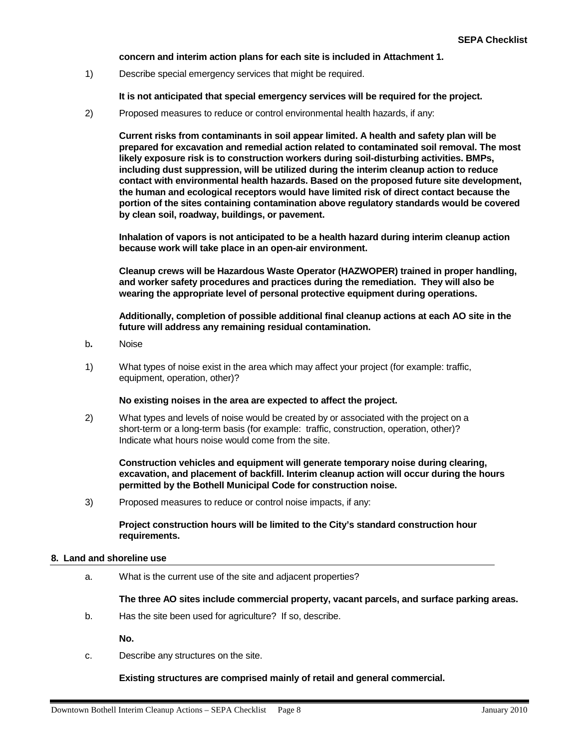# **concern and interim action plans for each site is included in Attachment 1.**

1) Describe special emergency services that might be required.

**It is not anticipated that special emergency services will be required for the project.**

2) Proposed measures to reduce or control environmental health hazards, if any:

**Current risks from contaminants in soil appear limited. A health and safety plan will be prepared for excavation and remedial action related to contaminated soil removal. The most likely exposure risk is to construction workers during soil-disturbing activities. BMPs, including dust suppression, will be utilized during the interim cleanup action to reduce contact with environmental health hazards. Based on the proposed future site development, the human and ecological receptors would have limited risk of direct contact because the portion of the sites containing contamination above regulatory standards would be covered by clean soil, roadway, buildings, or pavement.**

**Inhalation of vapors is not anticipated to be a health hazard during interim cleanup action because work will take place in an open-air environment.**

**Cleanup crews will be Hazardous Waste Operator (HAZWOPER) trained in proper handling, and worker safety procedures and practices during the remediation. They will also be wearing the appropriate level of personal protective equipment during operations.**

**Additionally, completion of possible additional final cleanup actions at each AO site in the future will address any remaining residual contamination.**

- b**.** Noise
- 1) What types of noise exist in the area which may affect your project (for example: traffic, equipment, operation, other)?

#### **No existing noises in the area are expected to affect the project.**

2) What types and levels of noise would be created by or associated with the project on a short-term or a long-term basis (for example: traffic, construction, operation, other)? Indicate what hours noise would come from the site.

**Construction vehicles and equipment will generate temporary noise during clearing, excavation, and placement of backfill. Interim cleanup action will occur during the hours permitted by the Bothell Municipal Code for construction noise.**

3) Proposed measures to reduce or control noise impacts, if any:

# **Project construction hours will be limited to the City's standard construction hour requirements.**

#### **8. Land and shoreline use**

a. What is the current use of the site and adjacent properties?

**The three AO sites include commercial property, vacant parcels, and surface parking areas.**

b. Has the site been used for agriculture? If so, describe.

**No.**

c. Describe any structures on the site.

# **Existing structures are comprised mainly of retail and general commercial.**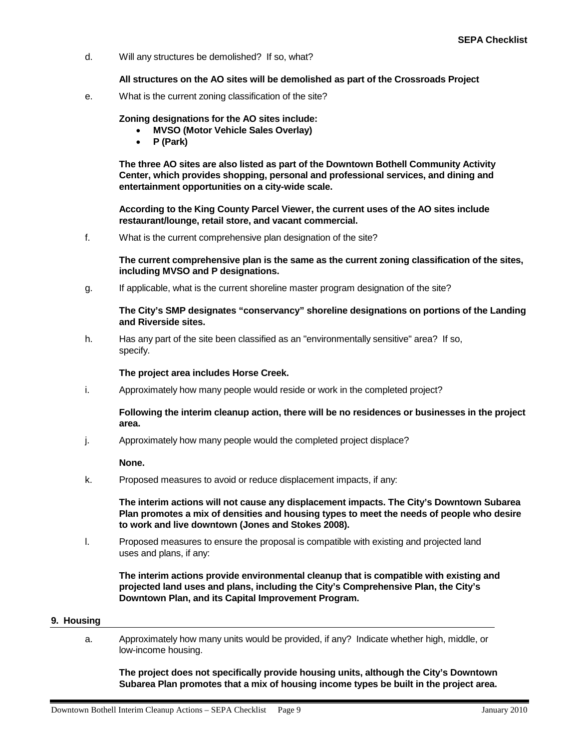d. Will any structures be demolished? If so, what?

#### **All structures on the AO sites will be demolished as part of the Crossroads Project**

e. What is the current zoning classification of the site?

# **Zoning designations for the AO sites include:**

- **MVSO (Motor Vehicle Sales Overlay)**
- **P (Park)**

**The three AO sites are also listed as part of the Downtown Bothell Community Activity Center, which provides shopping, personal and professional services, and dining and entertainment opportunities on a city-wide scale.**

**According to the King County Parcel Viewer, the current uses of the AO sites include restaurant/lounge, retail store, and vacant commercial.**

f. What is the current comprehensive plan designation of the site?

**The current comprehensive plan is the same as the current zoning classification of the sites, including MVSO and P designations.**

g. If applicable, what is the current shoreline master program designation of the site?

#### **The City's SMP designates "conservancy" shoreline designations on portions of the Landing and Riverside sites.**

h. Has any part of the site been classified as an "environmentally sensitive" area? If so, specify.

#### **The project area includes Horse Creek.**

i. Approximately how many people would reside or work in the completed project?

# **Following the interim cleanup action, there will be no residences or businesses in the project area.**

j. Approximately how many people would the completed project displace?

**None.**

k. Proposed measures to avoid or reduce displacement impacts, if any:

**The interim actions will not cause any displacement impacts. The City's Downtown Subarea Plan promotes a mix of densities and housing types to meet the needs of people who desire to work and live downtown (Jones and Stokes 2008).**

l. Proposed measures to ensure the proposal is compatible with existing and projected land uses and plans, if any:

**The interim actions provide environmental cleanup that is compatible with existing and projected land uses and plans, including the City's Comprehensive Plan, the City's Downtown Plan, and its Capital Improvement Program.**

# **9. Housing**

a. Approximately how many units would be provided, if any? Indicate whether high, middle, or low-income housing.

**The project does not specifically provide housing units, although the City's Downtown Subarea Plan promotes that a mix of housing income types be built in the project area.**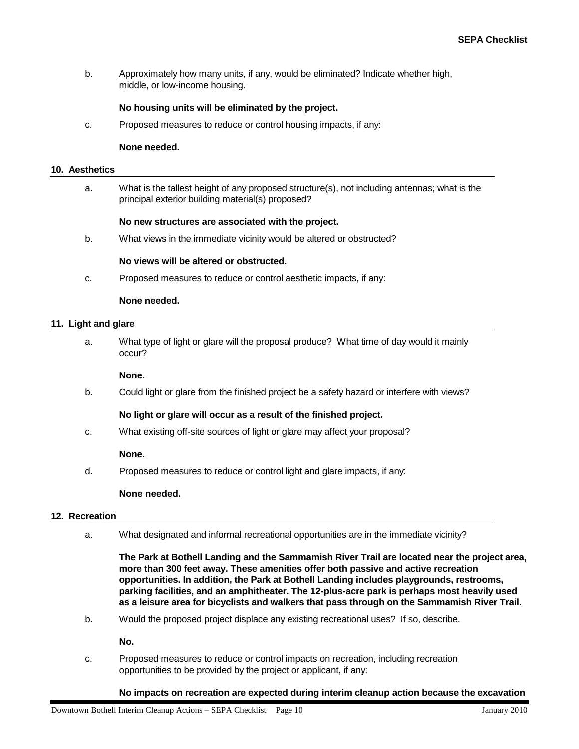b. Approximately how many units, if any, would be eliminated? Indicate whether high, middle, or low-income housing.

#### **No housing units will be eliminated by the project.**

c. Proposed measures to reduce or control housing impacts, if any:

#### **None needed.**

#### **10. Aesthetics**

a. What is the tallest height of any proposed structure(s), not including antennas; what is the principal exterior building material(s) proposed?

#### **No new structures are associated with the project.**

b. What views in the immediate vicinity would be altered or obstructed?

#### **No views will be altered or obstructed.**

c. Proposed measures to reduce or control aesthetic impacts, if any:

#### **None needed.**

#### **11. Light and glare**

a. What type of light or glare will the proposal produce? What time of day would it mainly occur?

#### **None.**

b. Could light or glare from the finished project be a safety hazard or interfere with views?

# **No light or glare will occur as a result of the finished project.**

c. What existing off-site sources of light or glare may affect your proposal?

#### **None.**

d. Proposed measures to reduce or control light and glare impacts, if any:

#### **None needed.**

#### **12. Recreation**

a. What designated and informal recreational opportunities are in the immediate vicinity?

**The Park at Bothell Landing and the Sammamish River Trail are located near the project area, more than 300 feet away. These amenities offer both passive and active recreation opportunities. In addition, the Park at Bothell Landing includes playgrounds, restrooms, parking facilities, and an amphitheater. The 12-plus-acre park is perhaps most heavily used as a leisure area for bicyclists and walkers that pass through on the Sammamish River Trail.**

b. Would the proposed project displace any existing recreational uses? If so, describe.

**No.**

c. Proposed measures to reduce or control impacts on recreation, including recreation opportunities to be provided by the project or applicant, if any:

#### **No impacts on recreation are expected during interim cleanup action because the excavation**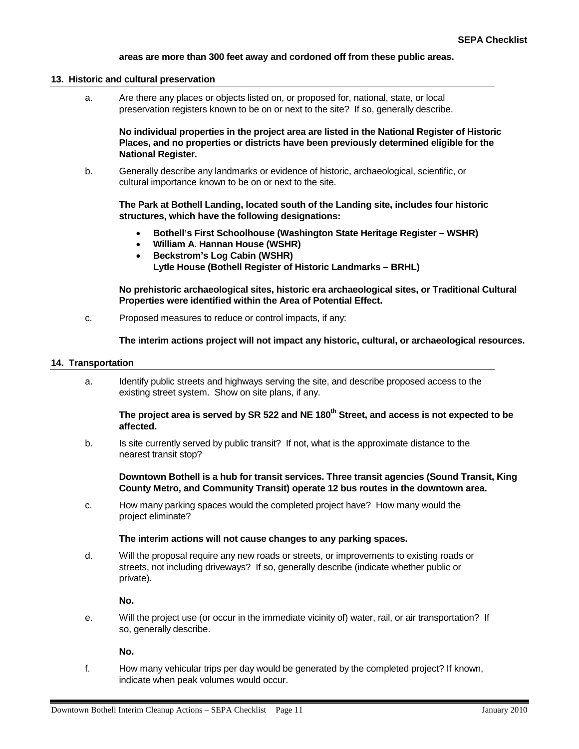# **areas are more than 300 feet away and cordoned off from these public areas.**

#### **13. Historic and cultural preservation**

a. Are there any places or objects listed on, or proposed for, national, state, or local preservation registers known to be on or next to the site? If so, generally describe.

**No individual properties in the project area are listed in the National Register of Historic Places, and no properties or districts have been previously determined eligible for the National Register.**

b. Generally describe any landmarks or evidence of historic, archaeological, scientific, or cultural importance known to be on or next to the site.

**The Park at Bothell Landing, located south of the Landing site, includes four historic structures, which have the following designations:**

- **Bothell's First Schoolhouse (Washington State Heritage Register – WSHR)**
- **William A. Hannan House (WSHR)**
- **Beckstrom's Log Cabin (WSHR) Lytle House (Bothell Register of Historic Landmarks – BRHL)**

**No prehistoric archaeological sites, historic era archaeological sites, or Traditional Cultural Properties were identified within the Area of Potential Effect.**

c. Proposed measures to reduce or control impacts, if any:

**The interim actions project will not impact any historic, cultural, or archaeological resources.**

#### **14. Transportation**

a. Identify public streets and highways serving the site, and describe proposed access to the existing street system. Show on site plans, if any.

# The project area is served by SR 522 and NE 180<sup>th</sup> Street, and access is not expected to be **affected.**

b. Is site currently served by public transit? If not, what is the approximate distance to the nearest transit stop?

**Downtown Bothell is a hub for transit services. Three transit agencies (Sound Transit, King County Metro, and Community Transit) operate 12 bus routes in the downtown area.**

c. How many parking spaces would the completed project have? How many would the project eliminate?

# **The interim actions will not cause changes to any parking spaces.**

d. Will the proposal require any new roads or streets, or improvements to existing roads or streets, not including driveways? If so, generally describe (indicate whether public or private).

**No.**

e. Will the project use (or occur in the immediate vicinity of) water, rail, or air transportation? If so, generally describe.

**No.**

f. How many vehicular trips per day would be generated by the completed project? If known, indicate when peak volumes would occur.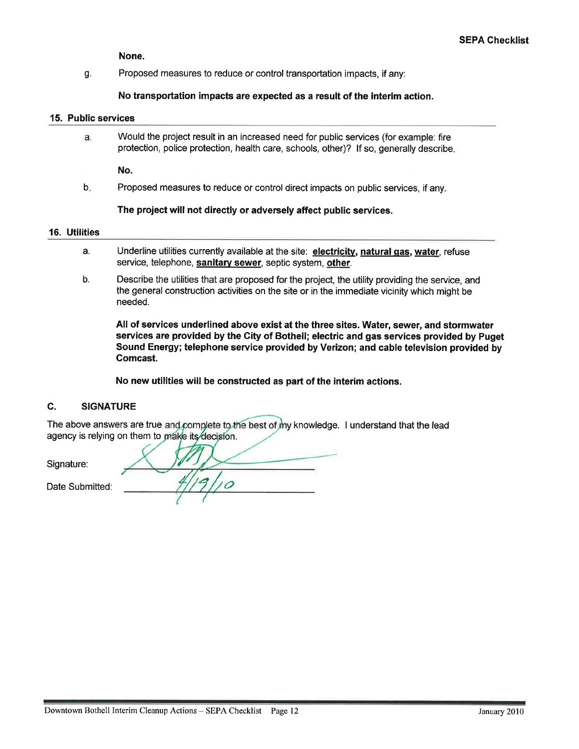None.

g. Proposed measures to reduce or control transportation impacts, if any:

No transportation impacts are expected as a result of the interim action.

#### 15. Public services

a. Would the project result in an increased need for public services (for example: fire protection, police protection, health care, schools, other)? If so, generally describe,

No.

b. Proposed measures to reduce or control direct impacts on public services, if any.

# The project will not directly or adversely affect public services.

#### **16. Utilities**

- a. Underline utilities currently available at the site: electricity, natural gas, water, refuse service, telephone, sanitary sewer, septic system, other.
- b. Describe the utilities that are proposed for the project, the utility providing the service, and the general construction activities on the site or in the immediate vicinity which might be needed.

All of services underlined above exist at the three sites. Water, sewer, and stormwater services are provided by the City of Bothell; electric and gas services provided by Puget Sound Energy; telephone service provided by Verizon; and cable television provided by Comcast.

No new utilities will be constructed as part of the interim actions.

#### C. **SIGNATURE**

The above answers are true and complete to the best of my knowledge. I understand that the lead agency is relying on them to make its decision.

Signature: Date Submitted: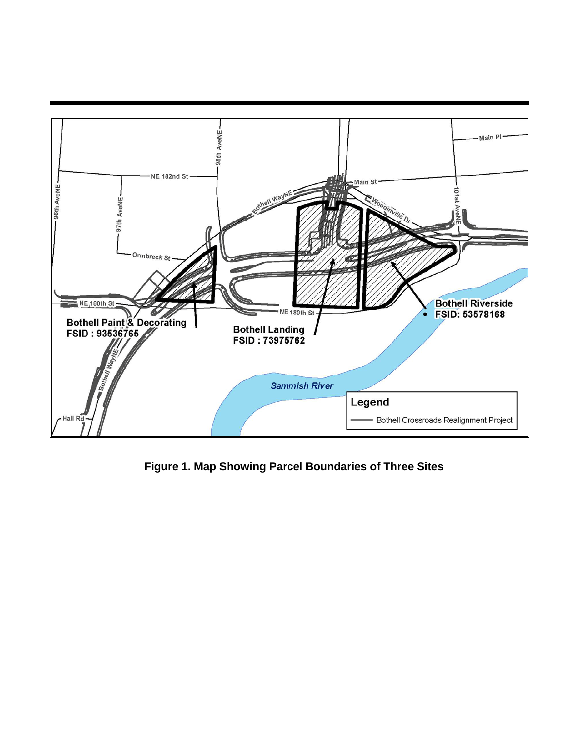

**Figure 1. Map Showing Parcel Boundaries of Three Sites**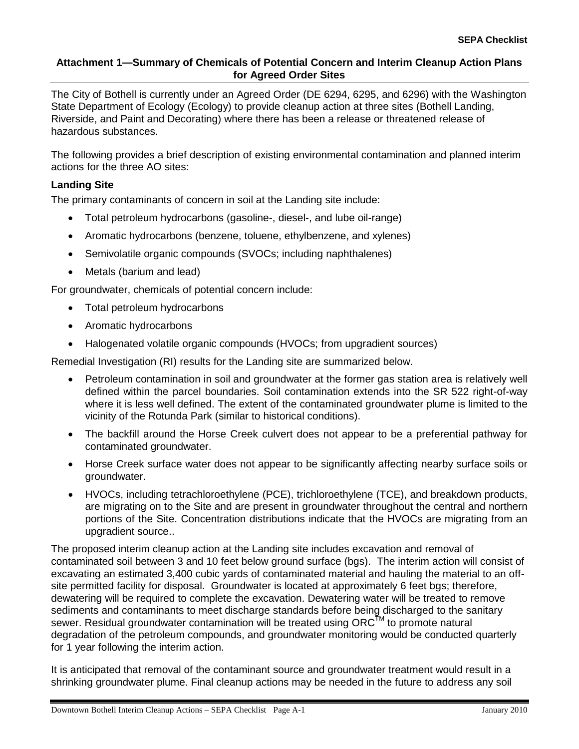# **Attachment 1—Summary of Chemicals of Potential Concern and Interim Cleanup Action Plans for Agreed Order Sites**

The City of Bothell is currently under an Agreed Order (DE 6294, 6295, and 6296) with the Washington State Department of Ecology (Ecology) to provide cleanup action at three sites (Bothell Landing, Riverside, and Paint and Decorating) where there has been a release or threatened release of hazardous substances.

The following provides a brief description of existing environmental contamination and planned interim actions for the three AO sites:

# **Landing Site**

The primary contaminants of concern in soil at the Landing site include:

- Total petroleum hydrocarbons (gasoline-, diesel-, and lube oil-range)
- Aromatic hydrocarbons (benzene, toluene, ethylbenzene, and xylenes)
- Semivolatile organic compounds (SVOCs; including naphthalenes)
- Metals (barium and lead)

For groundwater, chemicals of potential concern include:

- Total petroleum hydrocarbons
- Aromatic hydrocarbons
- Halogenated volatile organic compounds (HVOCs; from upgradient sources)

Remedial Investigation (RI) results for the Landing site are summarized below.

- Petroleum contamination in soil and groundwater at the former gas station area is relatively well defined within the parcel boundaries. Soil contamination extends into the SR 522 right-of-way where it is less well defined. The extent of the contaminated groundwater plume is limited to the vicinity of the Rotunda Park (similar to historical conditions).
- The backfill around the Horse Creek culvert does not appear to be a preferential pathway for contaminated groundwater.
- Horse Creek surface water does not appear to be significantly affecting nearby surface soils or groundwater.
- HVOCs, including tetrachloroethylene (PCE), trichloroethylene (TCE), and breakdown products, are migrating on to the Site and are present in groundwater throughout the central and northern portions of the Site. Concentration distributions indicate that the HVOCs are migrating from an upgradient source..

The proposed interim cleanup action at the Landing site includes excavation and removal of contaminated soil between 3 and 10 feet below ground surface (bgs). The interim action will consist of excavating an estimated 3,400 cubic yards of contaminated material and hauling the material to an offsite permitted facility for disposal. Groundwater is located at approximately 6 feet bgs; therefore, dewatering will be required to complete the excavation. Dewatering water will be treated to remove sediments and contaminants to meet discharge standards before being discharged to the sanitary sewer. Residual groundwater contamination will be treated using  $\text{ORC}^{\text{TM}}$  to promote natural degradation of the petroleum compounds, and groundwater monitoring would be conducted quarterly for 1 year following the interim action.

It is anticipated that removal of the contaminant source and groundwater treatment would result in a shrinking groundwater plume. Final cleanup actions may be needed in the future to address any soil